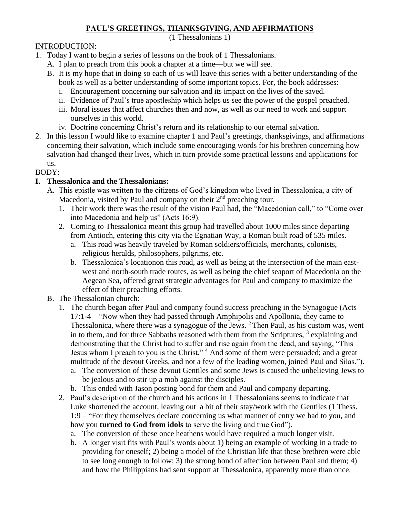### **PAUL'S GREETINGS, THANKSGIVING, AND AFFIRMATIONS**

(1 Thessalonians 1)

### INTRODUCTION:

- 1. Today I want to begin a series of lessons on the book of 1 Thessalonians.
	- A. I plan to preach from this book a chapter at a time—but we will see.
	- B. It is my hope that in doing so each of us will leave this series with a better understanding of the book as well as a better understanding of some important topics. For, the book addresses:
		- i. Encouragement concerning our salvation and its impact on the lives of the saved.
		- ii. Evidence of Paul's true apostleship which helps us see the power of the gospel preached.
		- iii. Moral issues that affect churches then and now, as well as our need to work and support ourselves in this world.
		- iv. Doctrine concerning Christ's return and its relationship to our eternal salvation.
- 2. In this lesson I would like to examine chapter 1 and Paul's greetings, thanksgivings, and affirmations concerning their salvation, which include some encouraging words for his brethren concerning how salvation had changed their lives, which in turn provide some practical lessons and applications for us.

# BODY:

# **I. Thessalonica and the Thessalonians:**

- A. This epistle was written to the citizens of God's kingdom who lived in Thessalonica, a city of Macedonia, visited by Paul and company on their  $2<sup>nd</sup>$  preaching tour.
	- 1. Their work there was the result of the vision Paul had, the "Macedonian call," to "Come over into Macedonia and help us" (Acts 16:9).
	- 2. Coming to Thessalonica meant this group had travelled about 1000 miles since departing from Antioch, entering this city via the Egnatian Way, a Roman built road of 535 miles.
		- a. This road was heavily traveled by Roman soldiers/officials, merchants, colonists, religious heralds, philosophers, pilgrims, etc.
		- b. Thessalonica's locationon this road, as well as being at the intersection of the main eastwest and north-south trade routes, as well as being the chief seaport of Macedonia on the Aegean Sea, offered great strategic advantages for Paul and company to maximize the effect of their preaching efforts.
- B. The Thessalonian church:
	- 1. The church began after Paul and company found success preaching in the Synagogue (Acts 17:1-4 – "Now when they had passed through Amphipolis and Apollonia, they came to Thessalonica, where there was a synagogue of the Jews. <sup>2</sup> Then Paul, as his custom was, went in to them, and for three Sabbaths reasoned with them from the Scriptures,  $3$  explaining and demonstrating that the Christ had to suffer and rise again from the dead, and saying, "This Jesus whom I preach to you is the Christ."<sup>4</sup> And some of them were persuaded; and a great multitude of the devout Greeks, and not a few of the leading women, joined Paul and Silas.").
		- a. The conversion of these devout Gentiles and some Jews is caused the unbelieving Jews to be jealous and to stir up a mob against the disciples.
		- b. This ended with Jason posting bond for them and Paul and company departing.
	- 2. Paul's description of the church and his actions in 1 Thessalonians seems to indicate that Luke shortened the account, leaving out a bit of their stay/work with the Gentiles (1 Thess. 1:9 – "For they themselves declare concerning us what manner of entry we had to you, and how you **turned to God from idols** to serve the living and true God").
		- a. The conversion of these once heathens would have required a much longer visit.
		- b. A longer visit fits with Paul's words about 1) being an example of working in a trade to providing for oneself; 2) being a model of the Christian life that these brethren were able to see long enough to follow; 3) the strong bond of affection between Paul and them; 4) and how the Philippians had sent support at Thessalonica, apparently more than once.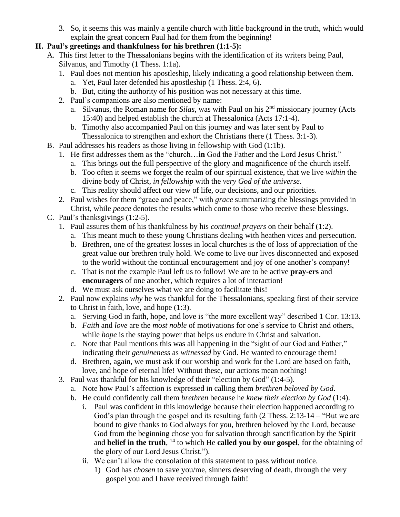3. So, it seems this was mainly a gentile church with little background in the truth, which would explain the great concern Paul had for them from the beginning!

#### **II. Paul's greetings and thankfulness for his brethren (1:1-5):**

- A. This first letter to the Thessalonians begins with the identification of its writers being Paul, Silvanus, and Timothy (1 Thess. 1:1a).
	- 1. Paul does not mention his apostleship, likely indicating a good relationship between them.
		- a. Yet, Paul later defended his apostleship (1 Thess. 2:4, 6).
		- b. But, citing the authority of his position was not necessary at this time.
	- 2. Paul's companions are also mentioned by name:
		- a. Silvanus, the Roman name for *Silas*, was with Paul on his 2<sup>nd</sup> missionary journey (Acts 15:40) and helped establish the church at Thessalonica (Acts 17:1-4).
		- b. Timothy also accompanied Paul on this journey and was later sent by Paul to Thessalonica to strengthen and exhort the Christians there (1 Thess. 3:1-3).
- B. Paul addresses his readers as those living in fellowship with God (1:1b).
	- 1. He first addresses them as the "church…**in** God the Father and the Lord Jesus Christ."
		- a. This brings out the full perspective of the glory and magnificence of the church itself.
		- b. Too often it seems we forget the realm of our spiritual existence, that we live *within* the divine body of Christ, *in fellowship* with the *very God of the universe*.
		- c. This reality should affect our view of life, our decisions, and our priorities.
	- 2. Paul wishes for them "grace and peace," with *grace* summarizing the blessings provided in Christ, while *peace* denotes the results which come to those who receive these blessings.
- C. Paul's thanksgivings (1:2-5).
	- 1. Paul assures them of his thankfulness by his *continual prayers* on their behalf (1:2).
		- a. This meant much to these young Christians dealing with heathen vices and persecution.
		- b. Brethren, one of the greatest losses in local churches is the of loss of appreciation of the great value our brethren truly hold. We come to live our lives disconnected and exposed to the world without the continual encouragement and joy of one another's company!
		- c. That is not the example Paul left us to follow! We are to be active **pray-ers** and **encouragers** of one another, which requires a lot of interaction!
		- d. We must ask ourselves what we are doing to facilitate this!
	- 2. Paul now explains *why* he was thankful for the Thessalonians, speaking first of their service to Christ in faith, love, and hope (1:3).
		- a. Serving God in faith, hope, and love is "the more excellent way" described 1 Cor. 13:13.
		- b. *Faith* and *love* are the *most noble* of motivations for one's service to Christ and others, while *hope* is the staying power that helps us endure in Christ and salvation.
		- c. Note that Paul mentions this was all happening in the "sight of our God and Father," indicating their *genuineness* as *witnessed* by God. He wanted to encourage them!
		- d. Brethren, again, we must ask if our worship and work for the Lord are based on faith, love, and hope of eternal life! Without these, our actions mean nothing!
	- 3. Paul was thankful for his knowledge of their "election by God" (1:4-5).
		- a. Note how Paul's affection is expressed in calling them *brethren beloved by God*.
		- b. He could confidently call them *brethren* because he *knew their election by God* (1:4).
			- i. Paul was confident in this knowledge because their election happened according to God's plan through the gospel and its resulting faith (2 Thess. 2:13-14 – "But we are bound to give thanks to God always for you, brethren beloved by the Lord, because God from the beginning chose you for salvation through sanctification by the Spirit and **belief in the truth**, <sup>14</sup> to which He **called you by our gospel**, for the obtaining of the glory of our Lord Jesus Christ.").
			- ii. We can't allow the consolation of this statement to pass without notice.
				- 1) God has *chosen* to save you/me, sinners deserving of death, through the very gospel you and I have received through faith!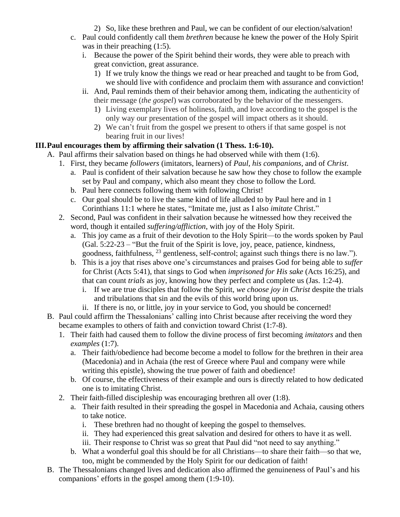- 2) So, like these brethren and Paul, we can be confident of our election/salvation!
- c. Paul could confidently call them *brethren* because he knew the power of the Holy Spirit was in their preaching  $(1:5)$ .
	- i. Because the power of the Spirit behind their words, they were able to preach with great conviction, great assurance.
		- 1) If we truly know the things we read or hear preached and taught to be from God, we should live with confidence and proclaim them with assurance and conviction!
	- ii. And, Paul reminds them of their behavior among them, indicating the authenticity of their message (*the gospel*) was corroborated by the behavior of the messengers.
		- 1) Living exemplary lives of holiness, faith, and love according to the gospel is the only way our presentation of the gospel will impact others as it should.
		- 2) We can't fruit from the gospel we present to others if that same gospel is not bearing fruit in our lives!

### **III.Paul encourages them by affirming their salvation (1 Thess. 1:6-10).**

- A. Paul affirms their salvation based on things he had observed while with them (1:6).
	- 1. First, they became *followers* (imitators, learners) of *Paul*, *his companions*, and of *Christ*.
		- a. Paul is confident of their salvation because he saw how they chose to follow the example set by Paul and company, which also meant they chose to follow the Lord.
		- b. Paul here connects following them with following Christ!
		- c. Our goal should be to live the same kind of life alluded to by Paul here and in 1 Corinthians 11:1 where he states, "Imitate me, just as I also *imitate* Christ."
	- 2. Second, Paul was confident in their salvation because he witnessed how they received the word, though it entailed *suffering/affliction*, with joy of the Holy Spirit.
		- a. This joy came as a fruit of their devotion to the Holy Spirit—to the words spoken by Paul (Gal. 5:22-23 – "But the fruit of the Spirit is love, joy, peace, patience, kindness, goodness, faithfulness, <sup>23</sup> gentleness, self-control; against such things there is no law.").
		- b. This is a joy that rises above one's circumstances and praises God for being able to *suffer* for Christ (Acts 5:41), that sings to God when *imprisoned for His sake* (Acts 16:25), and that can count *trials* as joy, knowing how they perfect and complete us (Jas. 1:2-4).
			- i. If we are true disciples that follow the Spirit, *we choose joy in Christ* despite the trials and tribulations that sin and the evils of this world bring upon us.
			- ii. If there is no, or little, joy in your service to God, you should be concerned!
- B. Paul could affirm the Thessalonians' calling into Christ because after receiving the word they became examples to others of faith and conviction toward Christ (1:7-8).
	- 1. Their faith had caused them to follow the divine process of first becoming *imitators* and then *examples* (1:7).
		- a. Their faith/obedience had become become a model to follow for the brethren in their area (Macedonia) and in Achaia (the rest of Greece where Paul and company were while writing this epistle), showing the true power of faith and obedience!
		- b. Of course, the effectiveness of their example and ours is directly related to how dedicated one is to imitating Christ.
	- 2. Their faith-filled discipleship was encouraging brethren all over (1:8).
		- a. Their faith resulted in their spreading the gospel in Macedonia and Achaia, causing others to take notice.
			- i. These brethren had no thought of keeping the gospel to themselves.
			- ii. They had experienced this great salvation and desired for others to have it as well.
			- iii. Their response to Christ was so great that Paul did "not need to say anything."
		- b. What a wonderful goal this should be for all Christians—to share their faith—so that we, too, might be commended by the Holy Spirit for our dedication of faith!
- B. The Thessalonians changed lives and dedication also affirmed the genuineness of Paul's and his companions' efforts in the gospel among them (1:9-10).